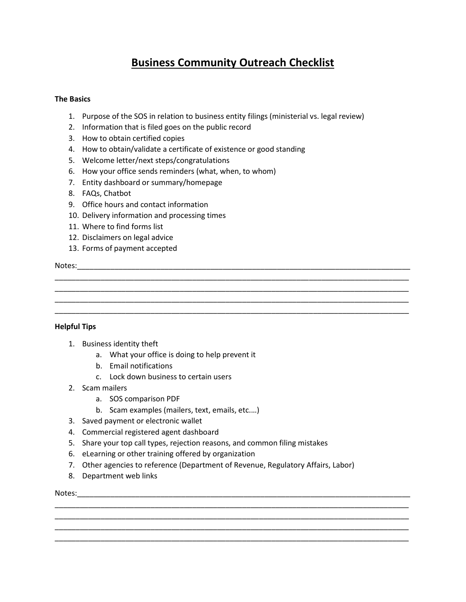# **Business Community Outreach Checklist**

\_\_\_\_\_\_\_\_\_\_\_\_\_\_\_\_\_\_\_\_\_\_\_\_\_\_\_\_\_\_\_\_\_\_\_\_\_\_\_\_\_\_\_\_\_\_\_\_\_\_\_\_\_\_\_\_\_\_\_\_\_\_\_\_\_\_\_\_\_\_\_\_\_\_\_\_\_\_\_\_\_\_\_\_\_ \_\_\_\_\_\_\_\_\_\_\_\_\_\_\_\_\_\_\_\_\_\_\_\_\_\_\_\_\_\_\_\_\_\_\_\_\_\_\_\_\_\_\_\_\_\_\_\_\_\_\_\_\_\_\_\_\_\_\_\_\_\_\_\_\_\_\_\_\_\_\_\_\_\_\_\_\_\_\_\_\_\_\_\_\_ \_\_\_\_\_\_\_\_\_\_\_\_\_\_\_\_\_\_\_\_\_\_\_\_\_\_\_\_\_\_\_\_\_\_\_\_\_\_\_\_\_\_\_\_\_\_\_\_\_\_\_\_\_\_\_\_\_\_\_\_\_\_\_\_\_\_\_\_\_\_\_\_\_\_\_\_\_\_\_\_\_\_\_\_\_ \_\_\_\_\_\_\_\_\_\_\_\_\_\_\_\_\_\_\_\_\_\_\_\_\_\_\_\_\_\_\_\_\_\_\_\_\_\_\_\_\_\_\_\_\_\_\_\_\_\_\_\_\_\_\_\_\_\_\_\_\_\_\_\_\_\_\_\_\_\_\_\_\_\_\_\_\_\_\_\_\_\_\_\_\_

## **The Basics**

- 1. Purpose of the SOS in relation to business entity filings (ministerial vs. legal review)
- 2. Information that is filed goes on the public record
- 3. How to obtain certified copies
- 4. How to obtain/validate a certificate of existence or good standing
- 5. Welcome letter/next steps/congratulations
- 6. How your office sends reminders (what, when, to whom)
- 7. Entity dashboard or summary/homepage
- 8. FAQs, Chatbot
- 9. Office hours and contact information
- 10. Delivery information and processing times
- 11. Where to find forms list
- 12. Disclaimers on legal advice
- 13. Forms of payment accepted

### Notes:

# **Helpful Tips**

- 1. Business identity theft
	- a. What your office is doing to help prevent it
	- b. Email notifications
	- c. Lock down business to certain users
- 2. Scam mailers
	- a. SOS comparison PDF
	- b. Scam examples (mailers, text, emails, etc.…)
- 3. Saved payment or electronic wallet
- 4. Commercial registered agent dashboard
- 5. Share your top call types, rejection reasons, and common filing mistakes
- 6. eLearning or other training offered by organization
- 7. Other agencies to reference (Department of Revenue, Regulatory Affairs, Labor)

\_\_\_\_\_\_\_\_\_\_\_\_\_\_\_\_\_\_\_\_\_\_\_\_\_\_\_\_\_\_\_\_\_\_\_\_\_\_\_\_\_\_\_\_\_\_\_\_\_\_\_\_\_\_\_\_\_\_\_\_\_\_\_\_\_\_\_\_\_\_\_\_\_\_\_\_\_\_\_\_\_\_\_\_\_ \_\_\_\_\_\_\_\_\_\_\_\_\_\_\_\_\_\_\_\_\_\_\_\_\_\_\_\_\_\_\_\_\_\_\_\_\_\_\_\_\_\_\_\_\_\_\_\_\_\_\_\_\_\_\_\_\_\_\_\_\_\_\_\_\_\_\_\_\_\_\_\_\_\_\_\_\_\_\_\_\_\_\_\_\_ \_\_\_\_\_\_\_\_\_\_\_\_\_\_\_\_\_\_\_\_\_\_\_\_\_\_\_\_\_\_\_\_\_\_\_\_\_\_\_\_\_\_\_\_\_\_\_\_\_\_\_\_\_\_\_\_\_\_\_\_\_\_\_\_\_\_\_\_\_\_\_\_\_\_\_\_\_\_\_\_\_\_\_\_\_ \_\_\_\_\_\_\_\_\_\_\_\_\_\_\_\_\_\_\_\_\_\_\_\_\_\_\_\_\_\_\_\_\_\_\_\_\_\_\_\_\_\_\_\_\_\_\_\_\_\_\_\_\_\_\_\_\_\_\_\_\_\_\_\_\_\_\_\_\_\_\_\_\_\_\_\_\_\_\_\_\_\_\_\_\_

8. Department web links

Notes: